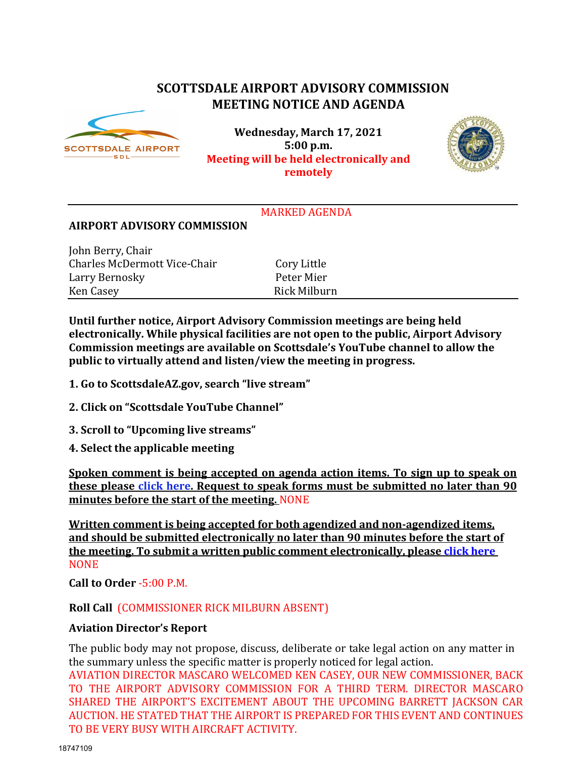# **SCOTTSDALE AIRPORT ADVISORY COMMISSION MEETING NOTICE AND AGENDA**



**Wednesday, March 17, 2021 5:00 p.m. Meeting will be held electronically and remotely**



# MARKED AGENDA

#### **AIRPORT ADVISORY COMMISSION**

John Berry, Chair Charles McDermott Vice-Chair Cory Little<br>
Larry Bernosky Peter Mier Larry Bernosky<br>Ken Casev

Rick Milburn

**Until further notice, Airport Advisory Commission meetings are being held electronically. While physical facilities are not open to the public, Airport Advisory Commission meetings are available on Scottsdale's YouTube channel to allow the public to virtually attend and listen/view the meeting in progress.**

- **1. Go to ScottsdaleAZ.gov, search "live stream"**
- **2. Click on "Scottsdale YouTube Channel"**
- **3. Scroll to "Upcoming live streams"**
- **4. Select the applicable meeting**

**Spoken comment is being accepted on agenda action items. To sign up to speak on these please [click here.](https://www.scottsdaleaz.gov/boards/airport-advisory-commission/spoken-comment) Request to speak forms must be submitted no later than 90 minutes before the start of the meeting.** NONE

**Written comment is being accepted for both agendized and non-agendized items, and should be submitted electronically no later than 90 minutes before the start of the meeting. To submit a written public comment electronically, please [click](https://www.scottsdaleaz.gov/boards/airport-advisory-commission/public-comment) here NONE** 

**Call to Order** -5:00 P.M.

**Roll Call** (COMMISSIONER RICK MILBURN ABSENT)

# **Aviation Director's Report**

The public body may not propose, discuss, deliberate or take legal action on any matter in the summary unless the specific matter is properly noticed for legal action.

AVIATION DIRECTOR MASCARO WELCOMED KEN CASEY, OUR NEW COMMISSIONER, BACK TO THE AIRPORT ADVISORY COMMISSION FOR A THIRD TERM. DIRECTOR MASCARO SHARED THE AIRPORT'S EXCITEMENT ABOUT THE UPCOMING BARRETT JACKSON CAR AUCTION. HE STATED THAT THE AIRPORT IS PREPARED FOR THIS EVENT AND CONTINUES TO BE VERY BUSY WITH AIRCRAFT ACTIVITY.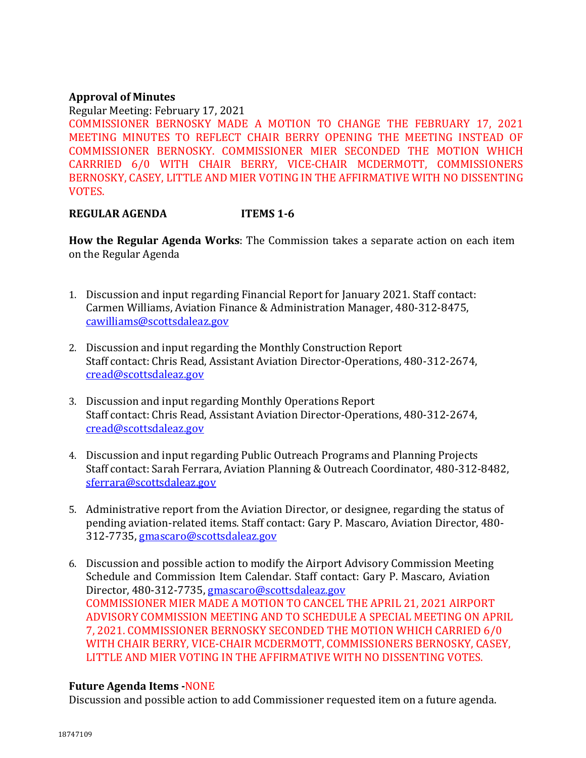# **Approval of Minutes**

Regular Meeting: February 17, 2021 COMMISSIONER BERNOSKY MADE A MOTION TO CHANGE THE FEBRUARY 17, 2021 MEETING MINUTES TO REFLECT CHAIR BERRY OPENING THE MEETING INSTEAD OF COMMISSIONER BERNOSKY. COMMISSIONER MIER SECONDED THE MOTION WHICH CARRRIED 6/0 WITH CHAIR BERRY, VICE-CHAIR MCDERMOTT, COMMISSIONERS BERNOSKY, CASEY, LITTLE AND MIER VOTING IN THE AFFIRMATIVE WITH NO DISSENTING VOTES.

# **REGULAR AGENDA ITEMS 1-6**

**How the Regular Agenda Works**: The Commission takes a separate action on each item on the Regular Agenda

- 1. Discussion and input regarding Financial Report for January 2021. Staff contact: Carmen Williams, Aviation Finance & Administration Manager, 480-312-8475, [cawilliams@scottsdaleaz.gov](mailto:cawilliams@scottsdaleaz.gov)
- 2. Discussion and input regarding the Monthly Construction Report Staff contact: Chris Read, Assistant Aviation Director-Operations, 480-312-2674, [cread@scottsdaleaz.gov](mailto:cread@scottsdaleaz.gov)
- 3. Discussion and input regarding Monthly Operations Report Staff contact: Chris Read, Assistant Aviation Director-Operations, 480-312-2674, [cread@scottsdaleaz.gov](mailto:cread@scottsdaleaz.gov)
- 4. Discussion and input regarding Public Outreach Programs and Planning Projects Staff contact: Sarah Ferrara, Aviation Planning & Outreach Coordinator, 480-312-8482, [sferrara@scottsdaleaz.gov](mailto:sferrara@scottsdaleaz.gov)
- 5. Administrative report from the Aviation Director, or designee, regarding the status of pending aviation-related items. Staff contact: Gary P. Mascaro, Aviation Director, 480- 312-7735, [gmascaro@scottsdaleaz.gov](mailto:gmascaro@scottsdaleaz.gov)
- 6. Discussion and possible action to modify the Airport Advisory Commission Meeting Schedule and Commission Item Calendar. Staff contact: Gary P. Mascaro, Aviation Director, 480-312-7735, [gmascaro@scottsdaleaz.gov](mailto:gmascaro@scottsdaleaz.gov) COMMISSIONER MIER MADE A MOTION TO CANCEL THE APRIL 21, 2021 AIRPORT ADVISORY COMMISSION MEETING AND TO SCHEDULE A SPECIAL MEETING ON APRIL 7, 2021. COMMISSIONER BERNOSKY SECONDED THE MOTION WHICH CARRIED 6/0 WITH CHAIR BERRY, VICE-CHAIR MCDERMOTT, COMMISSIONERS BERNOSKY, CASEY, LITTLE AND MIER VOTING IN THE AFFIRMATIVE WITH NO DISSENTING VOTES.

# **Future Agenda Items -**NONE

Discussion and possible action to add Commissioner requested item on a future agenda.